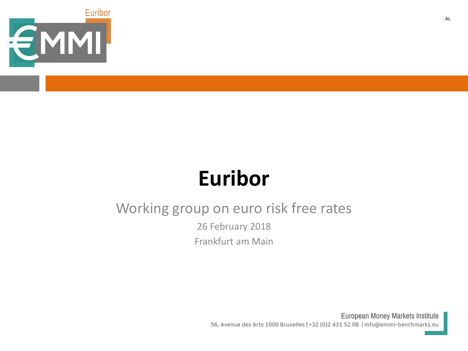

# **Euribor**

## Working group on euro risk free rates

26 February 2018 Frankfurt am Main

> European Money Markets Institute 56, Avenue des Arts 1000 Bruxelles | +32 (0)2 431 52 08 | info@emmi-benchmarks.eu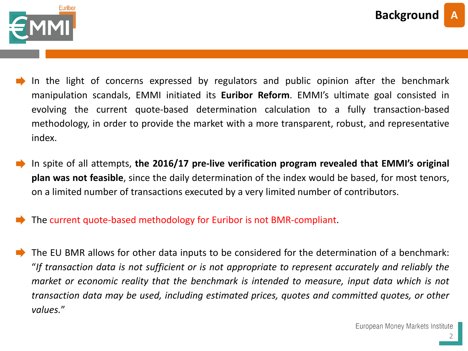

- In the light of concerns expressed by regulators and public opinion after the benchmark manipulation scandals, EMMI initiated its **Euribor Reform**. EMMI's ultimate goal consisted in evolving the current quote-based determination calculation to a fully transaction-based methodology, in order to provide the market with a more transparent, robust, and representative index.
- In spite of all attempts, **the 2016/17 pre-live verification program revealed that EMMI's original plan was not feasible**, since the daily determination of the index would be based, for most tenors, on a limited number of transactions executed by a very limited number of contributors.
- The current quote-based methodology for Euribor is not BMR-compliant.
- The EU BMR allows for other data inputs to be considered for the determination of a benchmark: "*If transaction data is not sufficient or is not appropriate to represent accurately and reliably the market or economic reality that the benchmark is intended to measure, input data which is not transaction data may be used, including estimated prices, quotes and committed quotes, or other values.*"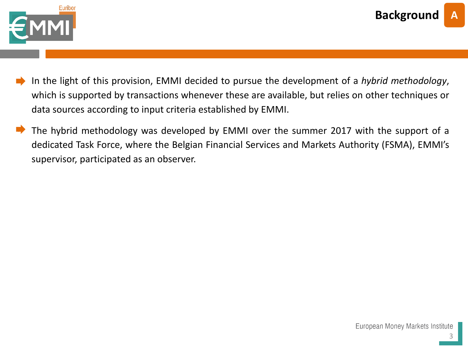

- In the light of this provision, EMMI decided to pursue the development of a *hybrid methodology*, which is supported by transactions whenever these are available, but relies on other techniques or data sources according to input criteria established by EMMI.
- The hybrid methodology was developed by EMMI over the summer 2017 with the support of a dedicated Task Force, where the Belgian Financial Services and Markets Authority (FSMA), EMMI's supervisor, participated as an observer.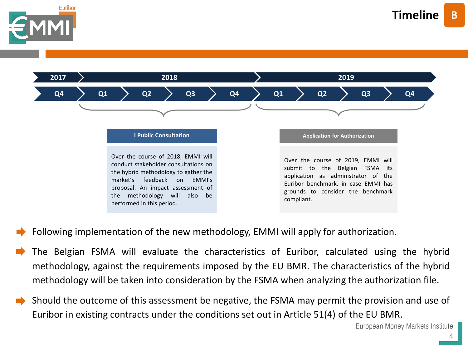



- Following implementation of the new methodology, EMMI will apply for authorization.
- The Belgian FSMA will evaluate the characteristics of Euribor, calculated using the hybrid methodology, against the requirements imposed by the EU BMR. The characteristics of the hybrid methodology will be taken into consideration by the FSMA when analyzing the authorization file.
- Should the outcome of this assessment be negative, the FSMA may permit the provision and use of Euribor in existing contracts under the conditions set out in Article 51(4) of the EU BMR.

European Money Markets Institute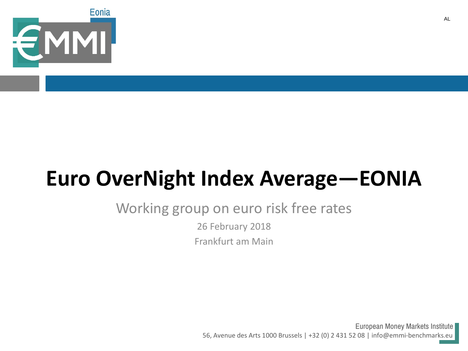

# **Euro OverNight Index Average—EONIA**

## Working group on euro risk free rates

26 February 2018

Frankfurt am Main

European Money Markets Institute 56, Avenue des Arts 1000 Brussels | +32 (0) 2 431 52 08 | info@emmi-benchmarks.eu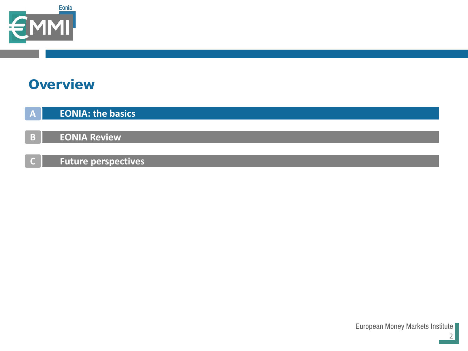

## **Overview**

| <b>EONIA: the basics</b> |  |
|--------------------------|--|
|--------------------------|--|

**B EONIA Review**

**Future perspectives C**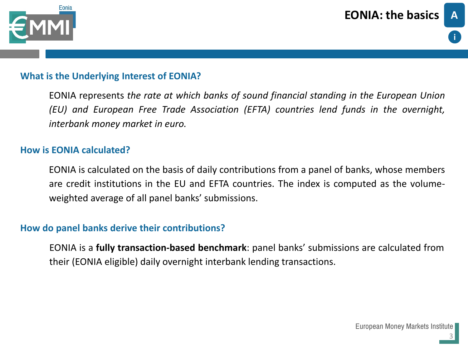

#### **What is the Underlying Interest of EONIA?**

EONIA represents *the rate at which banks of sound financial standing in the European Union (EU) and European Free Trade Association (EFTA) countries lend funds in the overnight, interbank money market in euro.*

#### **How is EONIA calculated?**

EONIA is calculated on the basis of daily contributions from a panel of banks, whose members are credit institutions in the EU and EFTA countries. The index is computed as the volumeweighted average of all panel banks' submissions.

#### **How do panel banks derive their contributions?**

EONIA is a **fully transaction-based benchmark**: panel banks' submissions are calculated from their (EONIA eligible) daily overnight interbank lending transactions.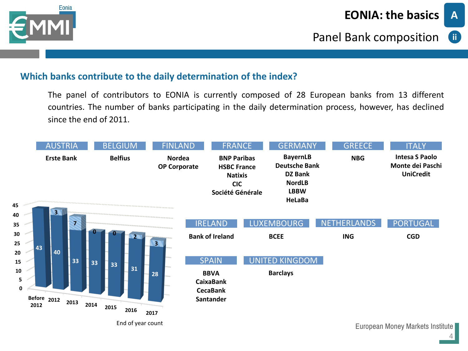

## **ii**

**A**

#### **Which banks contribute to the daily determination of the index?**

The panel of contributors to EONIA is currently composed of 28 European banks from 13 different countries. The number of banks participating in the daily determination process, however, has declined since the end of 2011.

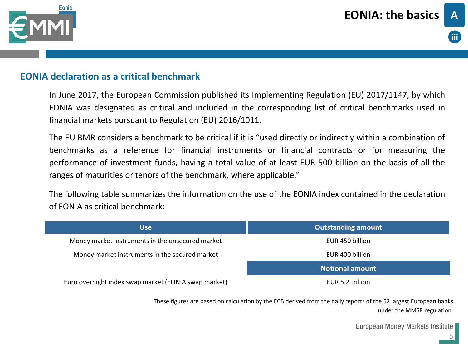



#### **EONIA declaration as a critical benchmark**

In June 2017, the European Commission published its Implementing Regulation (EU) 2017/1147, by which EONIA was designated as critical and included in the corresponding list of critical benchmarks used in financial markets pursuant to Regulation (EU) 2016/1011.

The EU BMR considers a benchmark to be critical if it is "used directly or indirectly within a combination of benchmarks as a reference for financial instruments or financial contracts or for measuring the performance of investment funds, having a total value of at least EUR 500 billion on the basis of all the ranges of maturities or tenors of the benchmark, where applicable."

The following table summarizes the information on the use of the EONIA index contained in the declaration of EONIA as critical benchmark:

| <b>Use</b>                                           | <b>Outstanding amount</b> |
|------------------------------------------------------|---------------------------|
| Money market instruments in the unsecured market     | EUR 450 billion           |
| Money market instruments in the secured market       | EUR 400 billion           |
|                                                      | <b>Notional amount</b>    |
| Euro overnight index swap market (EONIA swap market) | EUR 5.2 trillion          |

These figures are based on calculation by the ECB derived from the daily reports of the 52 largest European banks under the MMSR regulation.

European Money Markets Institute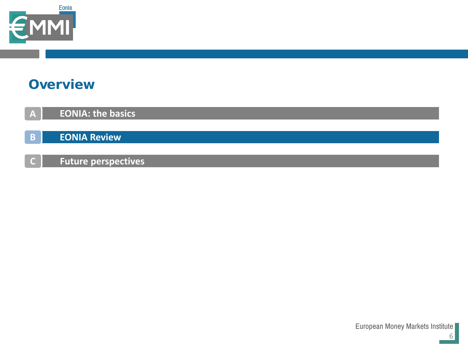

## **Overview**

**A EONIA: the basics**

**B EONIA Review**

**Future perspectives C**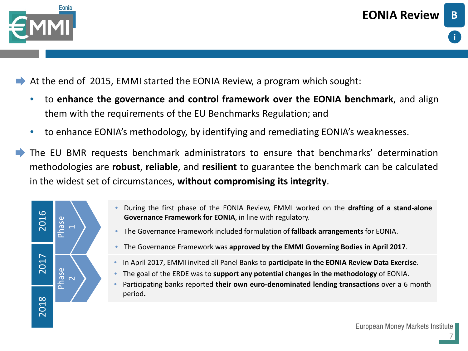

- At the end of 2015, EMMI started the EONIA Review, a program which sought:
	- to **enhance the governance and control framework over the EONIA benchmark**, and align them with the requirements of the EU Benchmarks Regulation; and
	- to enhance EONIA's methodology, by identifying and remediating EONIA's weaknesses.
- The EU BMR requests benchmark administrators to ensure that benchmarks' determination methodologies are **robust**, **reliable**, and **resilient** to guarantee the benchmark can be calculated in the widest set of circumstances, **without compromising its integrity**.



- During the first phase of the EONIA Review, EMMI worked on the **drafting of a stand-alone Governance Framework for EONIA**, in line with regulatory.
- The Governance Framework included formulation of **fallback arrangements** for EONIA.
- The Governance Framework was **approved by the EMMI Governing Bodies in April 2017**.
- In April 2017, EMMI invited all Panel Banks to **participate in the EONIA Review Data Exercise**.
- The goal of the ERDE was to **support any potential changes in the methodology** of EONIA.
- Participating banks reported **their own euro-denominated lending transactions** over a 6 month period**.**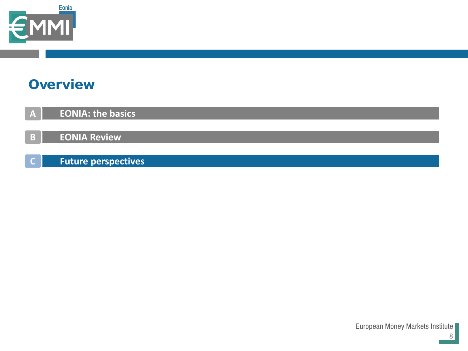

## **Overview**

- **A EONIA: the basics**
- **B EONIA Review**
- **Future perspectives C**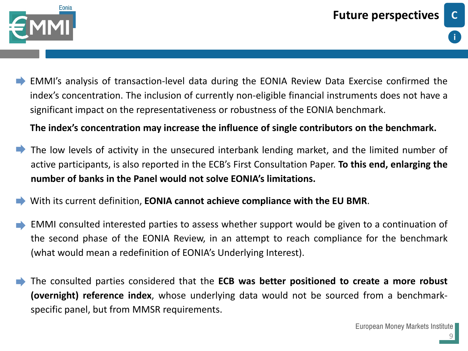



EMMI's analysis of transaction-level data during the EONIA Review Data Exercise confirmed the index's concentration. The inclusion of currently non-eligible financial instruments does not have a significant impact on the representativeness or robustness of the EONIA benchmark.

**The index's concentration may increase the influence of single contributors on the benchmark.**

- The low levels of activity in the unsecured interbank lending market, and the limited number of active participants, is also reported in the ECB's First Consultation Paper. **To this end, enlarging the number of banks in the Panel would not solve EONIA's limitations.**
- With its current definition, **EONIA cannot achieve compliance with the EU BMR**.
- EMMI consulted interested parties to assess whether support would be given to a continuation of the second phase of the EONIA Review, in an attempt to reach compliance for the benchmark (what would mean a redefinition of EONIA's Underlying Interest).
- The consulted parties considered that the **ECB was better positioned to create a more robust (overnight) reference index**, whose underlying data would not be sourced from a benchmarkspecific panel, but from MMSR requirements.

9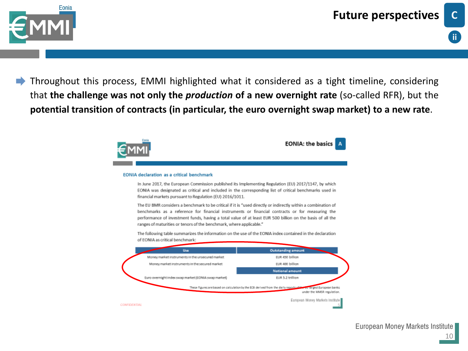



Throughout this process, EMMI highlighted what it considered as a tight timeline, considering that **the challenge was not only the** *production* **of a new overnight rate** (so-called RFR), but the **potential transition of contracts (in particular, the euro overnight swap market) to a new rate**.